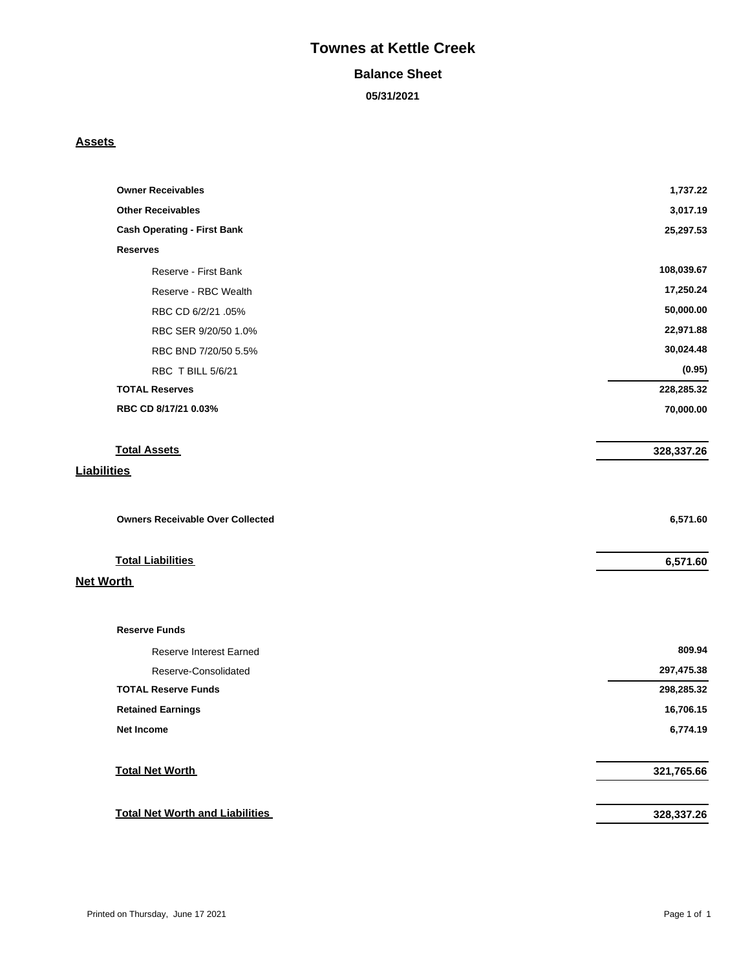# **Townes at Kettle Creek**

#### **Balance Sheet**

**05/31/2021**

#### **Assets**

| <b>Owner Receivables</b>                | 1,737.22   |
|-----------------------------------------|------------|
| <b>Other Receivables</b>                | 3,017.19   |
| <b>Cash Operating - First Bank</b>      | 25,297.53  |
| <b>Reserves</b>                         |            |
| Reserve - First Bank                    | 108,039.67 |
| Reserve - RBC Wealth                    | 17,250.24  |
| RBC CD 6/2/21 .05%                      | 50,000.00  |
| RBC SER 9/20/50 1.0%                    | 22,971.88  |
| RBC BND 7/20/50 5.5%                    | 30,024.48  |
| RBC T BILL 5/6/21                       | (0.95)     |
| <b>TOTAL Reserves</b>                   | 228,285.32 |
| RBC CD 8/17/21 0.03%                    | 70,000.00  |
| <b>Total Assets</b>                     | 328,337.26 |
| <b>Liabilities</b>                      |            |
|                                         |            |
| <b>Owners Receivable Over Collected</b> | 6,571.60   |
| <b>Total Liabilities</b>                | 6,571.60   |
| <b>Net Worth</b>                        |            |
| <b>Reserve Funds</b>                    |            |
| Reserve Interest Earned                 | 809.94     |
| Reserve-Consolidated                    | 297,475.38 |
| <b>TOTAL Reserve Funds</b>              | 298,285.32 |
| <b>Retained Earnings</b>                | 16,706.15  |
| <b>Net Income</b>                       | 6,774.19   |
| <b>Total Net Worth</b>                  | 321,765.66 |
| <b>Total Net Worth and Liabilities</b>  | 328,337.26 |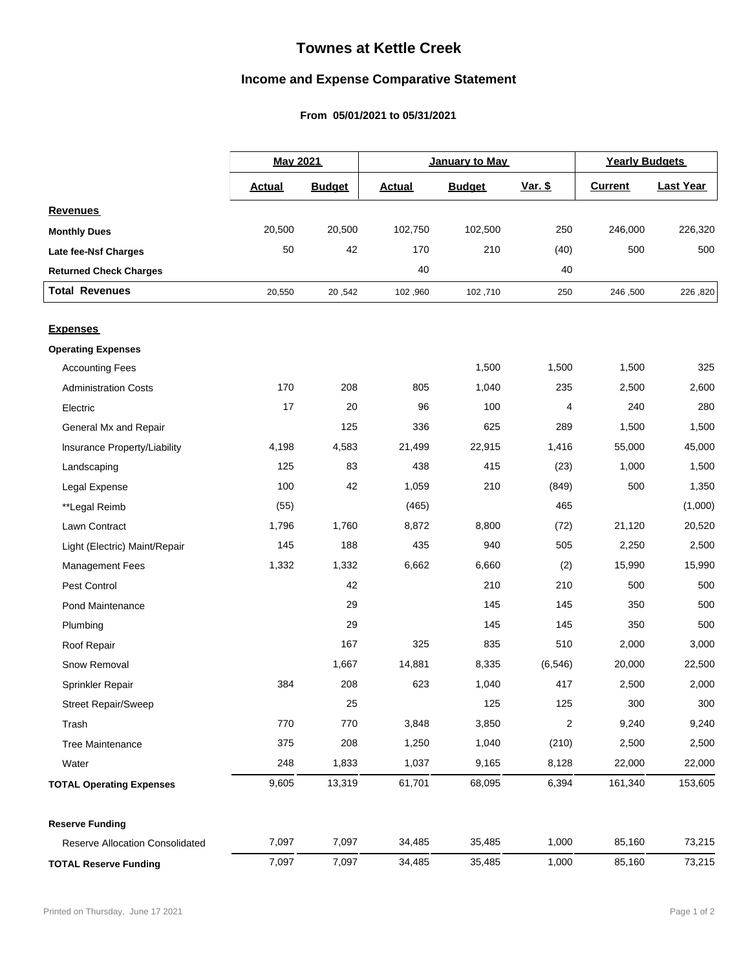## **Townes at Kettle Creek**

### **Income and Expense Comparative Statement**

### From 05/01/2021 to 05/31/2021

|                                 |               | <b>May 2021</b><br>January to May<br><b>Yearly Budgets</b> |               |               |                  |                |                  |
|---------------------------------|---------------|------------------------------------------------------------|---------------|---------------|------------------|----------------|------------------|
|                                 | <b>Actual</b> | <b>Budget</b>                                              | <b>Actual</b> | <b>Budget</b> | <u>Var. \$</u>   | <b>Current</b> | <b>Last Year</b> |
| <b>Revenues</b>                 |               |                                                            |               |               |                  |                |                  |
| <b>Monthly Dues</b>             | 20,500        | 20,500                                                     | 102,750       | 102,500       | 250              | 246,000        | 226,320          |
| Late fee-Nsf Charges            | 50            | 42                                                         | 170           | 210           | (40)             | 500            | 500              |
| <b>Returned Check Charges</b>   |               |                                                            | 40            |               | 40               |                |                  |
| <b>Total Revenues</b>           | 20,550        | 20,542                                                     | 102,960       | 102,710       | 250              | 246,500        | 226,820          |
|                                 |               |                                                            |               |               |                  |                |                  |
| <b>Expenses</b>                 |               |                                                            |               |               |                  |                |                  |
| <b>Operating Expenses</b>       |               |                                                            |               |               |                  |                |                  |
| <b>Accounting Fees</b>          |               |                                                            |               | 1,500         | 1,500            | 1,500          | 325              |
| <b>Administration Costs</b>     | 170           | 208                                                        | 805           | 1,040         | 235              | 2,500          | 2,600            |
| Electric                        | 17            | 20                                                         | 96            | 100           | $\overline{4}$   | 240            | 280              |
| General Mx and Repair           |               | 125                                                        | 336           | 625           | 289              | 1,500          | 1,500            |
| Insurance Property/Liability    | 4,198         | 4,583                                                      | 21,499        | 22,915        | 1,416            | 55,000         | 45,000           |
| Landscaping                     | 125           | 83                                                         | 438           | 415           | (23)             | 1,000          | 1,500            |
| Legal Expense                   | 100           | 42                                                         | 1,059         | 210           | (849)            | 500            | 1,350            |
| **Legal Reimb                   | (55)          |                                                            | (465)         |               | 465              |                | (1,000)          |
| Lawn Contract                   | 1,796         | 1,760                                                      | 8,872         | 8,800         | (72)             | 21,120         | 20,520           |
| Light (Electric) Maint/Repair   | 145           | 188                                                        | 435           | 940           | 505              | 2,250          | 2,500            |
| <b>Management Fees</b>          | 1,332         | 1,332                                                      | 6,662         | 6,660         | (2)              | 15,990         | 15,990           |
| Pest Control                    |               | 42                                                         |               | 210           | 210              | 500            | 500              |
| Pond Maintenance                |               | 29                                                         |               | 145           | 145              | 350            | 500              |
| Plumbing                        |               | 29                                                         |               | 145           | 145              | 350            | 500              |
| Roof Repair                     |               | 167                                                        | 325           | 835           | 510              | 2,000          | 3,000            |
| Snow Removal                    |               | 1,667                                                      | 14,881        | 8,335         | (6, 546)         | 20,000         | 22,500           |
| Sprinkler Repair                | 384           | 208                                                        | 623           | 1,040         | 417              | 2,500          | 2,000            |
| <b>Street Repair/Sweep</b>      |               | 25                                                         |               | 125           | 125              | 300            | 300              |
| Trash                           | 770           | 770                                                        | 3,848         | 3,850         | $\boldsymbol{2}$ | 9,240          | 9,240            |
| <b>Tree Maintenance</b>         | 375           | 208                                                        | 1,250         | 1,040         | (210)            | 2,500          | 2,500            |
| Water                           | 248           | 1,833                                                      | 1,037         | 9,165         | 8,128            | 22,000         | 22,000           |
| <b>TOTAL Operating Expenses</b> | 9,605         | 13,319                                                     | 61,701        | 68,095        | 6,394            | 161,340        | 153,605          |
| <b>Reserve Funding</b>          |               |                                                            |               |               |                  |                |                  |
| Reserve Allocation Consolidated | 7,097         | 7,097                                                      | 34,485        | 35,485        | 1,000            | 85,160         | 73,215           |
| <b>TOTAL Reserve Funding</b>    | 7,097         | 7,097                                                      | 34,485        | 35,485        | 1,000            | 85,160         | 73,215           |